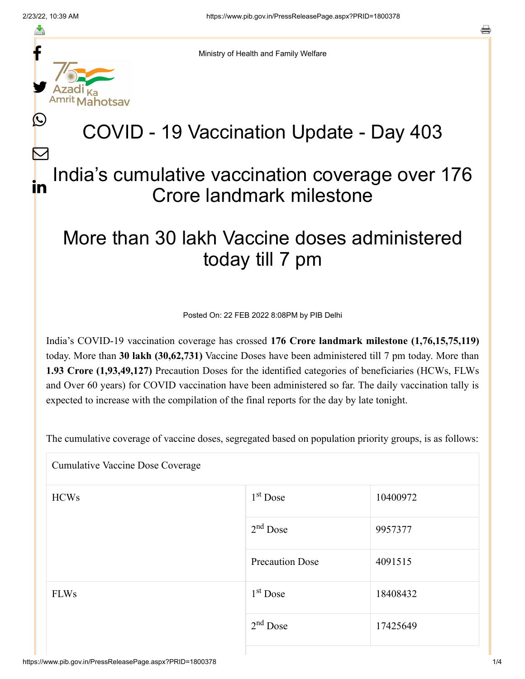≛

Ŀ

 $\bm{\nabla}$ 

o



Ministry of Health and Family Welfare

## COVID - 19 Vaccination Update - Day 403

## India's cumulative vaccination coverage over 176 Crore landmark milestone in

## More than 30 lakh Vaccine doses administered today till 7 pm

Posted On: 22 FEB 2022 8:08PM by PIB Delhi

India's COVID-19 vaccination coverage has crossed **176 Crore landmark milestone (1,76,15,75,119)** today. More than **30 lakh (30,62,731)** Vaccine Doses have been administered till 7 pm today. More than **1.93 Crore (1,93,49,127)** Precaution Doses for the identified categories of beneficiaries (HCWs, FLWs and Over 60 years) for COVID vaccination have been administered so far. The daily vaccination tally is expected to increase with the compilation of the final reports for the day by late tonight.

The cumulative coverage of vaccine doses, segregated based on population priority groups, is as follows:

| <b>Cumulative Vaccine Dose Coverage</b> |                        |          |  |  |
|-----------------------------------------|------------------------|----------|--|--|
| <b>HCWs</b>                             | 1 <sup>st</sup> Dose   | 10400972 |  |  |
|                                         | $2nd$ Dose             | 9957377  |  |  |
|                                         | <b>Precaution Dose</b> | 4091515  |  |  |
| <b>FLWs</b>                             | $1st$ Dose             | 18408432 |  |  |
|                                         | $2nd$ Dose             | 17425649 |  |  |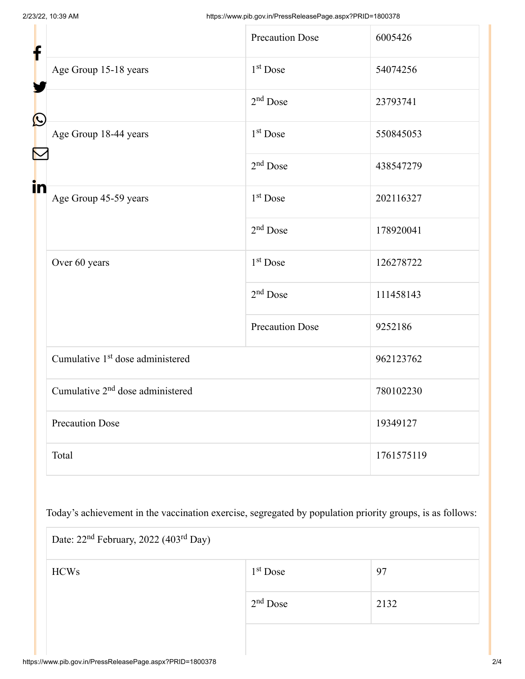| f            |                                              | <b>Precaution Dose</b> | 6005426    |
|--------------|----------------------------------------------|------------------------|------------|
|              | Age Group 15-18 years                        | 1 <sup>st</sup> Dose   | 54074256   |
| $\bf \Omega$ |                                              | $2nd$ Dose             | 23793741   |
|              | Age Group 18-44 years                        | 1 <sup>st</sup> Dose   | 550845053  |
|              |                                              | $2nd$ Dose             | 438547279  |
| in           | Age Group 45-59 years                        | 1 <sup>st</sup> Dose   | 202116327  |
|              |                                              | $2nd$ Dose             | 178920041  |
|              | Over 60 years                                | 1 <sup>st</sup> Dose   | 126278722  |
|              |                                              | $2nd$ Dose             | 111458143  |
|              |                                              | <b>Precaution Dose</b> | 9252186    |
|              | Cumulative 1 <sup>st</sup> dose administered |                        | 962123762  |
|              | Cumulative 2 <sup>nd</sup> dose administered |                        | 780102230  |
|              | <b>Precaution Dose</b>                       |                        | 19349127   |
|              | Total                                        |                        | 1761575119 |

Today's achievement in the vaccination exercise, segregated by population priority groups, is as follows:

| Date: 22 <sup>nd</sup> February, 2022 (403 <sup>rd</sup> Day) |            |      |  |  |
|---------------------------------------------------------------|------------|------|--|--|
| <b>HCWs</b>                                                   | $1st$ Dose | 97   |  |  |
|                                                               | $2nd$ Dose | 2132 |  |  |
|                                                               |            |      |  |  |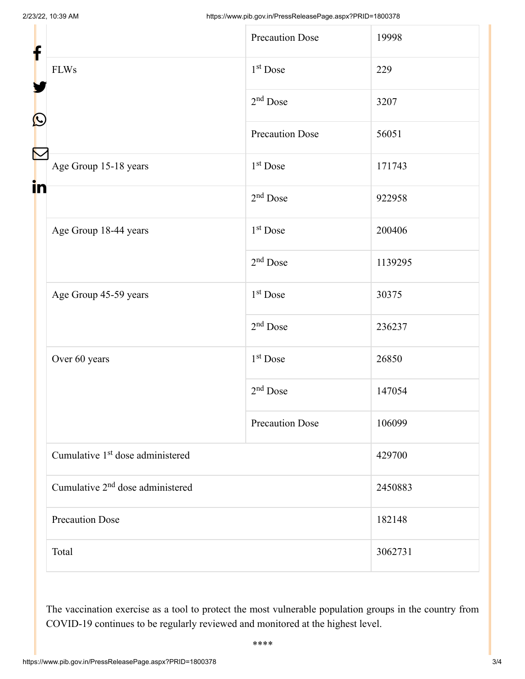|                                              | <b>Precaution Dose</b> | 19998   |
|----------------------------------------------|------------------------|---------|
| <b>FLWs</b>                                  | 1 <sup>st</sup> Dose   | 229     |
|                                              | $2nd$ Dose             | 3207    |
|                                              | <b>Precaution Dose</b> | 56051   |
| Age Group 15-18 years                        | 1 <sup>st</sup> Dose   | 171743  |
|                                              | 2 <sup>nd</sup> Dose   | 922958  |
| Age Group 18-44 years                        | 1 <sup>st</sup> Dose   | 200406  |
|                                              | $2nd$ Dose             | 1139295 |
| Age Group 45-59 years                        | 1 <sup>st</sup> Dose   | 30375   |
|                                              | $2nd$ Dose             | 236237  |
| Over 60 years                                | 1 <sup>st</sup> Dose   | 26850   |
|                                              | $2nd$ Dose             | 147054  |
|                                              | <b>Precaution Dose</b> | 106099  |
| Cumulative 1 <sup>st</sup> dose administered |                        | 429700  |
| Cumulative 2 <sup>nd</sup> dose administered |                        | 2450883 |
| <b>Precaution Dose</b>                       |                        | 182148  |
| Total                                        |                        | 3062731 |
|                                              | in                     |         |

The vaccination exercise as a tool to protect the most vulnerable population groups in the country from COVID-19 continues to be regularly reviewed and monitored at the highest level.